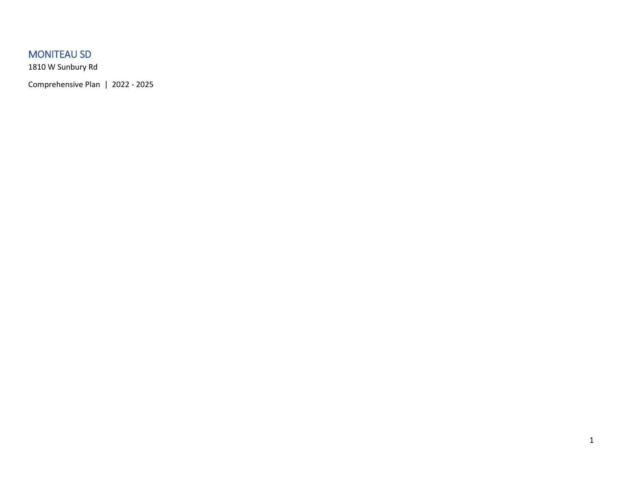### MONITEAU SD

1810 W Sunbury Rd

Comprehensive Plan | 2022 - 2025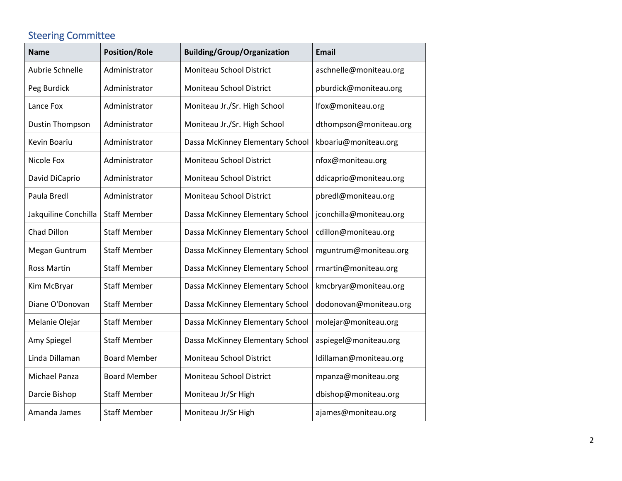# Steering Committee

| <b>Name</b>          | <b>Position/Role</b> | <b>Building/Group/Organization</b> | <b>Email</b>            |
|----------------------|----------------------|------------------------------------|-------------------------|
| Aubrie Schnelle      | Administrator        | Moniteau School District           | aschnelle@moniteau.org  |
| Peg Burdick          | Administrator        | Moniteau School District           | pburdick@moniteau.org   |
| Lance Fox            | Administrator        | Moniteau Jr./Sr. High School       | lfox@moniteau.org       |
| Dustin Thompson      | Administrator        | Moniteau Jr./Sr. High School       | dthompson@moniteau.org  |
| Kevin Boariu         | Administrator        | Dassa McKinney Elementary School   | kboariu@moniteau.org    |
| Nicole Fox           | Administrator        | Moniteau School District           | nfox@moniteau.org       |
| David DiCaprio       | Administrator        | Moniteau School District           | ddicaprio@moniteau.org  |
| Paula Bredl          | Administrator        | Moniteau School District           | pbredl@moniteau.org     |
| Jakquiline Conchilla | <b>Staff Member</b>  | Dassa McKinney Elementary School   | jconchilla@moniteau.org |
| Chad Dillon          | <b>Staff Member</b>  | Dassa McKinney Elementary School   | cdillon@moniteau.org    |
| Megan Guntrum        | <b>Staff Member</b>  | Dassa McKinney Elementary School   | mguntrum@moniteau.org   |
| <b>Ross Martin</b>   | <b>Staff Member</b>  | Dassa McKinney Elementary School   | rmartin@moniteau.org    |
| Kim McBryar          | <b>Staff Member</b>  | Dassa McKinney Elementary School   | kmcbryar@moniteau.org   |
| Diane O'Donovan      | <b>Staff Member</b>  | Dassa McKinney Elementary School   | dodonovan@moniteau.org  |
| Melanie Olejar       | <b>Staff Member</b>  | Dassa McKinney Elementary School   | molejar@moniteau.org    |
| Amy Spiegel          | <b>Staff Member</b>  | Dassa McKinney Elementary School   | aspiegel@moniteau.org   |
| Linda Dillaman       | <b>Board Member</b>  | Moniteau School District           | ldillaman@moniteau.org  |
| Michael Panza        | <b>Board Member</b>  | Moniteau School District           | mpanza@moniteau.org     |
| Darcie Bishop        | <b>Staff Member</b>  | Moniteau Jr/Sr High                | dbishop@moniteau.org    |
| Amanda James         | <b>Staff Member</b>  | Moniteau Jr/Sr High                | ajames@moniteau.org     |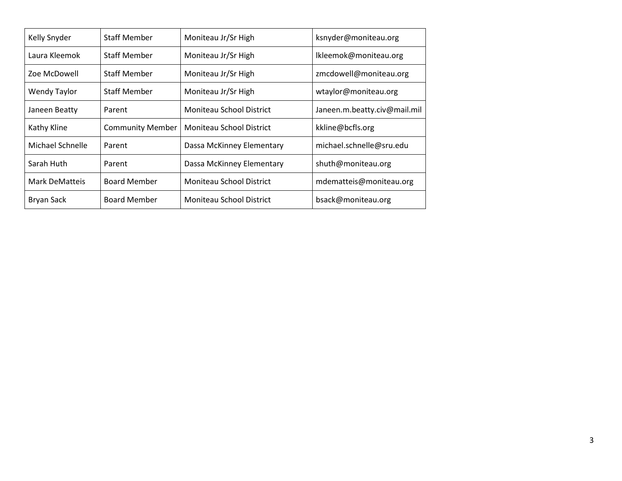| Kelly Snyder          | <b>Staff Member</b>     | Moniteau Jr/Sr High       | ksnyder@moniteau.org         |
|-----------------------|-------------------------|---------------------------|------------------------------|
| Laura Kleemok         | <b>Staff Member</b>     | Moniteau Jr/Sr High       | Ikleemok@moniteau.org        |
| Zoe McDowell          | <b>Staff Member</b>     | Moniteau Jr/Sr High       | zmcdowell@moniteau.org       |
| <b>Wendy Taylor</b>   | <b>Staff Member</b>     | Moniteau Jr/Sr High       | wtaylor@moniteau.org         |
| Janeen Beatty         | Parent                  | Moniteau School District  | Janeen.m.beatty.civ@mail.mil |
| Kathy Kline           | <b>Community Member</b> | Moniteau School District  | kkline@bcfls.org             |
| Michael Schnelle      | Parent                  | Dassa McKinney Elementary | michael.schnelle@sru.edu     |
| Sarah Huth            | Parent                  | Dassa McKinney Elementary | shuth@moniteau.org           |
| <b>Mark DeMatteis</b> | <b>Board Member</b>     | Moniteau School District  | mdematteis@moniteau.org      |
| <b>Bryan Sack</b>     | <b>Board Member</b>     | Moniteau School District  | bsack@moniteau.org           |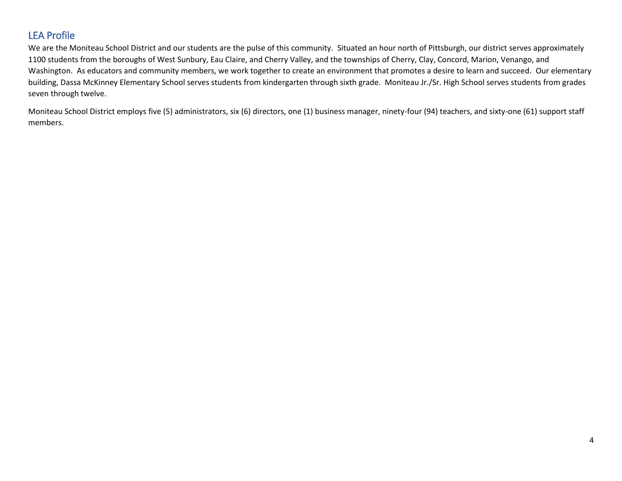### LEA Profile

We are the Moniteau School District and our students are the pulse of this community. Situated an hour north of Pittsburgh, our district serves approximately 1100 students from the boroughs of West Sunbury, Eau Claire, and Cherry Valley, and the townships of Cherry, Clay, Concord, Marion, Venango, and Washington. As educators and community members, we work together to create an environment that promotes a desire to learn and succeed. Our elementary building, Dassa McKinney Elementary School serves students from kindergarten through sixth grade. Moniteau Jr./Sr. High School serves students from grades seven through twelve.

Moniteau School District employs five (5) administrators, six (6) directors, one (1) business manager, ninety-four (94) teachers, and sixty-one (61) support staff members.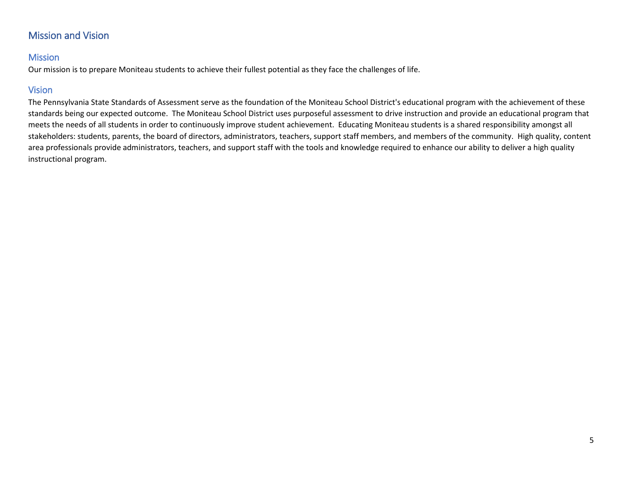### Mission and Vision

#### Mission

Our mission is to prepare Moniteau students to achieve their fullest potential as they face the challenges of life.

### Vision

The Pennsylvania State Standards of Assessment serve as the foundation of the Moniteau School District's educational program with the achievement of these standards being our expected outcome. The Moniteau School District uses purposeful assessment to drive instruction and provide an educational program that meets the needs of all students in order to continuously improve student achievement. Educating Moniteau students is a shared responsibility amongst all stakeholders: students, parents, the board of directors, administrators, teachers, support staff members, and members of the community. High quality, content area professionals provide administrators, teachers, and support staff with the tools and knowledge required to enhance our ability to deliver a high quality instructional program.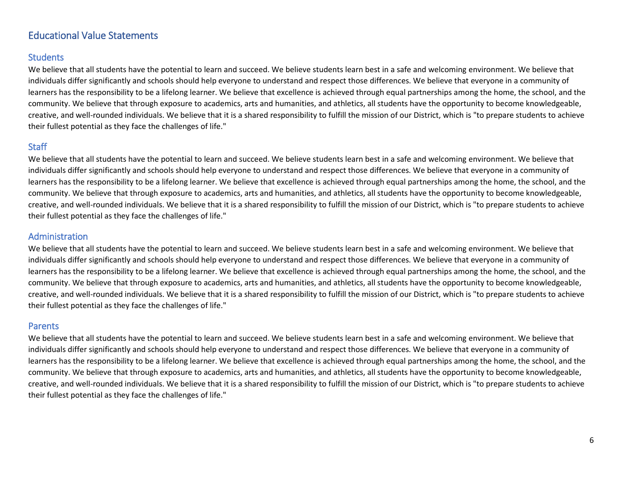### Educational Value Statements

#### **Students**

We believe that all students have the potential to learn and succeed. We believe students learn best in a safe and welcoming environment. We believe that individuals differ significantly and schools should help everyone to understand and respect those differences. We believe that everyone in a community of learners has the responsibility to be a lifelong learner. We believe that excellence is achieved through equal partnerships among the home, the school, and the community. We believe that through exposure to academics, arts and humanities, and athletics, all students have the opportunity to become knowledgeable, creative, and well-rounded individuals. We believe that it is a shared responsibility to fulfill the mission of our District, which is "to prepare students to achieve their fullest potential as they face the challenges of life."

#### **Staff**

We believe that all students have the potential to learn and succeed. We believe students learn best in a safe and welcoming environment. We believe that individuals differ significantly and schools should help everyone to understand and respect those differences. We believe that everyone in a community of learners has the responsibility to be a lifelong learner. We believe that excellence is achieved through equal partnerships among the home, the school, and the community. We believe that through exposure to academics, arts and humanities, and athletics, all students have the opportunity to become knowledgeable, creative, and well-rounded individuals. We believe that it is a shared responsibility to fulfill the mission of our District, which is "to prepare students to achieve their fullest potential as they face the challenges of life."

#### Administration

We believe that all students have the potential to learn and succeed. We believe students learn best in a safe and welcoming environment. We believe that individuals differ significantly and schools should help everyone to understand and respect those differences. We believe that everyone in a community of learners has the responsibility to be a lifelong learner. We believe that excellence is achieved through equal partnerships among the home, the school, and the community. We believe that through exposure to academics, arts and humanities, and athletics, all students have the opportunity to become knowledgeable, creative, and well-rounded individuals. We believe that it is a shared responsibility to fulfill the mission of our District, which is "to prepare students to achieve their fullest potential as they face the challenges of life."

#### Parents

We believe that all students have the potential to learn and succeed. We believe students learn best in a safe and welcoming environment. We believe that individuals differ significantly and schools should help everyone to understand and respect those differences. We believe that everyone in a community of learners has the responsibility to be a lifelong learner. We believe that excellence is achieved through equal partnerships among the home, the school, and the community. We believe that through exposure to academics, arts and humanities, and athletics, all students have the opportunity to become knowledgeable, creative, and well-rounded individuals. We believe that it is a shared responsibility to fulfill the mission of our District, which is "to prepare students to achieve their fullest potential as they face the challenges of life."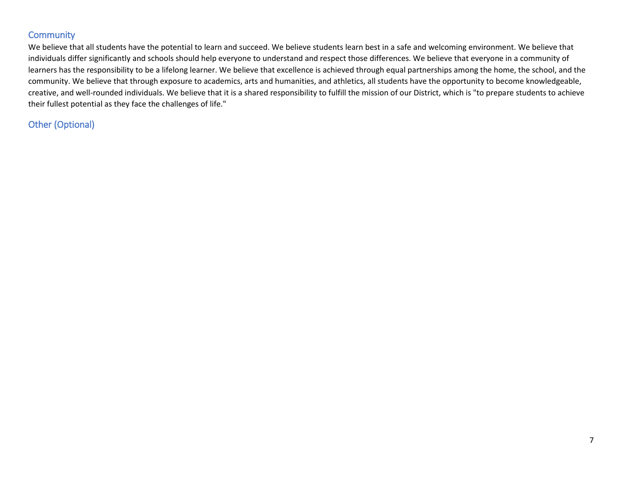#### **Community**

We believe that all students have the potential to learn and succeed. We believe students learn best in a safe and welcoming environment. We believe that individuals differ significantly and schools should help everyone to understand and respect those differences. We believe that everyone in a community of learners has the responsibility to be a lifelong learner. We believe that excellence is achieved through equal partnerships among the home, the school, and the community. We believe that through exposure to academics, arts and humanities, and athletics, all students have the opportunity to become knowledgeable, creative, and well-rounded individuals. We believe that it is a shared responsibility to fulfill the mission of our District, which is "to prepare students to achieve their fullest potential as they face the challenges of life."

### Other (Optional)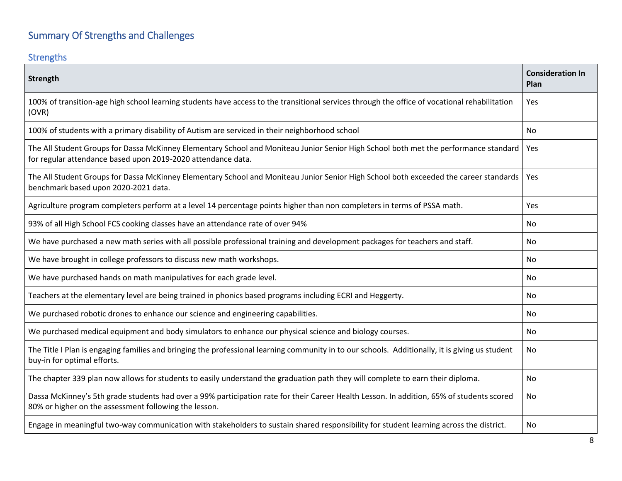# Summary Of Strengths and Challenges

## Strengths

| Strength                                                                                                                                                                                             | <b>Consideration In</b><br>Plan |
|------------------------------------------------------------------------------------------------------------------------------------------------------------------------------------------------------|---------------------------------|
| 100% of transition-age high school learning students have access to the transitional services through the office of vocational rehabilitation<br>(OVR)                                               | Yes                             |
| 100% of students with a primary disability of Autism are serviced in their neighborhood school                                                                                                       | No                              |
| The All Student Groups for Dassa McKinney Elementary School and Moniteau Junior Senior High School both met the performance standard<br>for regular attendance based upon 2019-2020 attendance data. | Yes                             |
| The All Student Groups for Dassa McKinney Elementary School and Moniteau Junior Senior High School both exceeded the career standards<br>benchmark based upon 2020-2021 data.                        | Yes                             |
| Agriculture program completers perform at a level 14 percentage points higher than non completers in terms of PSSA math.                                                                             | Yes                             |
| 93% of all High School FCS cooking classes have an attendance rate of over 94%                                                                                                                       | No.                             |
| We have purchased a new math series with all possible professional training and development packages for teachers and staff.                                                                         | No                              |
| We have brought in college professors to discuss new math workshops.                                                                                                                                 | No                              |
| We have purchased hands on math manipulatives for each grade level.                                                                                                                                  | No                              |
| Teachers at the elementary level are being trained in phonics based programs including ECRI and Heggerty.                                                                                            | No.                             |
| We purchased robotic drones to enhance our science and engineering capabilities.                                                                                                                     | No                              |
| We purchased medical equipment and body simulators to enhance our physical science and biology courses.                                                                                              | <b>No</b>                       |
| The Title I Plan is engaging families and bringing the professional learning community in to our schools. Additionally, it is giving us student<br>buy-in for optimal efforts.                       | No                              |
| The chapter 339 plan now allows for students to easily understand the graduation path they will complete to earn their diploma.                                                                      | No                              |
| Dassa McKinney's 5th grade students had over a 99% participation rate for their Career Health Lesson. In addition, 65% of students scored<br>80% or higher on the assessment following the lesson.   | No                              |
| Engage in meaningful two-way communication with stakeholders to sustain shared responsibility for student learning across the district.                                                              | No                              |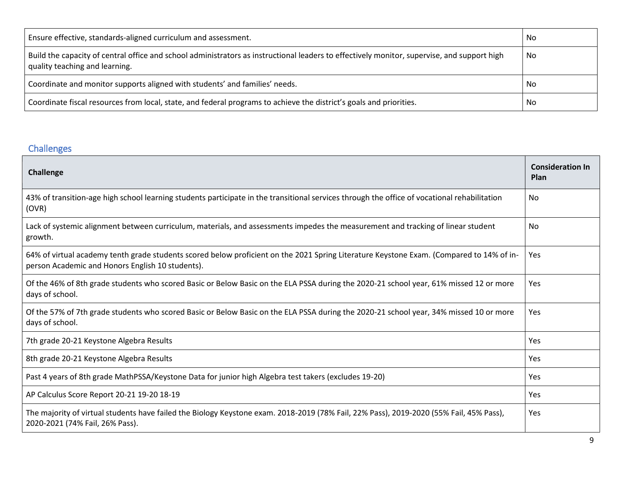| Ensure effective, standards-aligned curriculum and assessment.                                                                                                                | No |
|-------------------------------------------------------------------------------------------------------------------------------------------------------------------------------|----|
| Build the capacity of central office and school administrators as instructional leaders to effectively monitor, supervise, and support high<br>quality teaching and learning. | No |
| Coordinate and monitor supports aligned with students' and families' needs.                                                                                                   | No |
| Coordinate fiscal resources from local, state, and federal programs to achieve the district's goals and priorities.                                                           | No |

### Challenges

| Challenge                                                                                                                                                                                    | <b>Consideration In</b><br>Plan |
|----------------------------------------------------------------------------------------------------------------------------------------------------------------------------------------------|---------------------------------|
| 43% of transition-age high school learning students participate in the transitional services through the office of vocational rehabilitation<br>(OVR)                                        | No                              |
| Lack of systemic alignment between curriculum, materials, and assessments impedes the measurement and tracking of linear student<br>growth.                                                  | No                              |
| 64% of virtual academy tenth grade students scored below proficient on the 2021 Spring Literature Keystone Exam. (Compared to 14% of in-<br>person Academic and Honors English 10 students). | Yes                             |
| Of the 46% of 8th grade students who scored Basic or Below Basic on the ELA PSSA during the 2020-21 school year, 61% missed 12 or more<br>days of school.                                    | Yes                             |
| Of the 57% of 7th grade students who scored Basic or Below Basic on the ELA PSSA during the 2020-21 school year, 34% missed 10 or more<br>days of school.                                    | Yes                             |
| 7th grade 20-21 Keystone Algebra Results                                                                                                                                                     | Yes                             |
| 8th grade 20-21 Keystone Algebra Results                                                                                                                                                     | <b>Yes</b>                      |
| Past 4 years of 8th grade MathPSSA/Keystone Data for junior high Algebra test takers (excludes 19-20)                                                                                        | Yes                             |
| AP Calculus Score Report 20-21 19-20 18-19                                                                                                                                                   | Yes                             |
| The majority of virtual students have failed the Biology Keystone exam. 2018-2019 (78% Fail, 22% Pass), 2019-2020 (55% Fail, 45% Pass),<br>2020-2021 (74% Fail, 26% Pass).                   | Yes                             |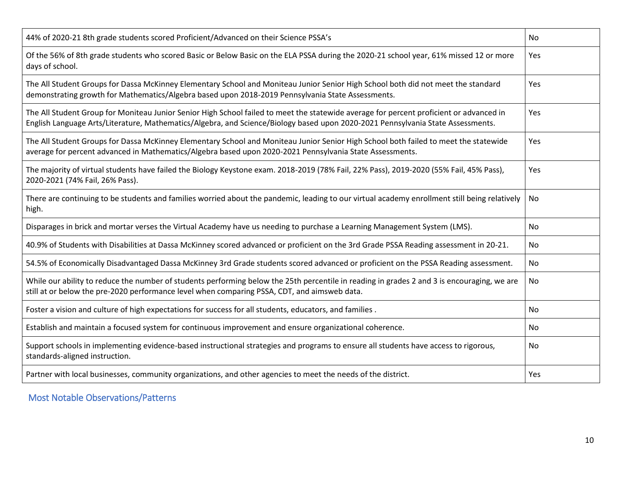| 44% of 2020-21 8th grade students scored Proficient/Advanced on their Science PSSA's                                                                                                                                                                                       | No        |
|----------------------------------------------------------------------------------------------------------------------------------------------------------------------------------------------------------------------------------------------------------------------------|-----------|
| Of the 56% of 8th grade students who scored Basic or Below Basic on the ELA PSSA during the 2020-21 school year, 61% missed 12 or more<br>days of school.                                                                                                                  | Yes       |
| The All Student Groups for Dassa McKinney Elementary School and Moniteau Junior Senior High School both did not meet the standard<br>demonstrating growth for Mathematics/Algebra based upon 2018-2019 Pennsylvania State Assessments.                                     | Yes       |
| The All Student Group for Moniteau Junior Senior High School failed to meet the statewide average for percent proficient or advanced in<br>English Language Arts/Literature, Mathematics/Algebra, and Science/Biology based upon 2020-2021 Pennsylvania State Assessments. | Yes       |
| The All Student Groups for Dassa McKinney Elementary School and Moniteau Junior Senior High School both failed to meet the statewide<br>average for percent advanced in Mathematics/Algebra based upon 2020-2021 Pennsylvania State Assessments.                           | Yes       |
| The majority of virtual students have failed the Biology Keystone exam. 2018-2019 (78% Fail, 22% Pass), 2019-2020 (55% Fail, 45% Pass),<br>2020-2021 (74% Fail, 26% Pass).                                                                                                 | Yes       |
| There are continuing to be students and families worried about the pandemic, leading to our virtual academy enrollment still being relatively<br>high.                                                                                                                     | No        |
| Disparages in brick and mortar verses the Virtual Academy have us needing to purchase a Learning Management System (LMS).                                                                                                                                                  | <b>No</b> |
| 40.9% of Students with Disabilities at Dassa McKinney scored advanced or proficient on the 3rd Grade PSSA Reading assessment in 20-21.                                                                                                                                     | No.       |
| 54.5% of Economically Disadvantaged Dassa McKinney 3rd Grade students scored advanced or proficient on the PSSA Reading assessment.                                                                                                                                        | No        |
| While our ability to reduce the number of students performing below the 25th percentile in reading in grades 2 and 3 is encouraging, we are<br>still at or below the pre-2020 performance level when comparing PSSA, CDT, and aimsweb data.                                | <b>No</b> |
| Foster a vision and culture of high expectations for success for all students, educators, and families.                                                                                                                                                                    | No        |
| Establish and maintain a focused system for continuous improvement and ensure organizational coherence.                                                                                                                                                                    | No        |
| Support schools in implementing evidence-based instructional strategies and programs to ensure all students have access to rigorous,<br>standards-aligned instruction.                                                                                                     | No        |
| Partner with local businesses, community organizations, and other agencies to meet the needs of the district.                                                                                                                                                              | Yes       |

Most Notable Observations/Patterns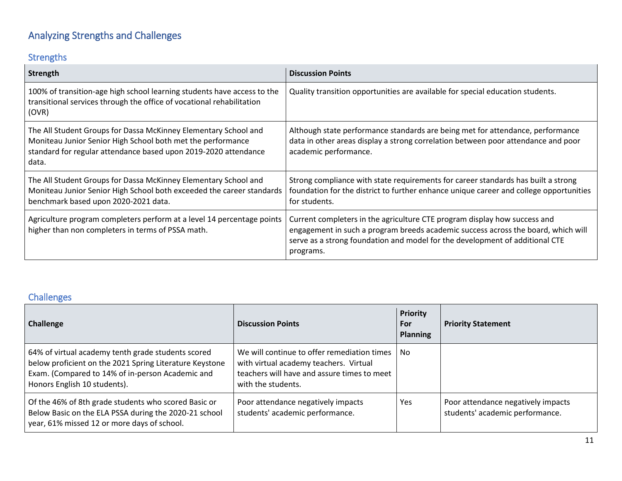# Analyzing Strengths and Challenges

## Strengths

| <b>Strength</b>                                                                                                                                                                                            | <b>Discussion Points</b>                                                                                                                                                                                                                                    |
|------------------------------------------------------------------------------------------------------------------------------------------------------------------------------------------------------------|-------------------------------------------------------------------------------------------------------------------------------------------------------------------------------------------------------------------------------------------------------------|
| 100% of transition-age high school learning students have access to the<br>transitional services through the office of vocational rehabilitation<br>(OVR)                                                  | Quality transition opportunities are available for special education students.                                                                                                                                                                              |
| The All Student Groups for Dassa McKinney Elementary School and<br>Moniteau Junior Senior High School both met the performance<br>standard for regular attendance based upon 2019-2020 attendance<br>data. | Although state performance standards are being met for attendance, performance<br>data in other areas display a strong correlation between poor attendance and poor<br>academic performance.                                                                |
| The All Student Groups for Dassa McKinney Elementary School and<br>Moniteau Junior Senior High School both exceeded the career standards<br>benchmark based upon 2020-2021 data.                           | Strong compliance with state requirements for career standards has built a strong<br>foundation for the district to further enhance unique career and college opportunities<br>for students.                                                                |
| Agriculture program completers perform at a level 14 percentage points<br>higher than non completers in terms of PSSA math.                                                                                | Current completers in the agriculture CTE program display how success and<br>engagement in such a program breeds academic success across the board, which will<br>serve as a strong foundation and model for the development of additional CTE<br>programs. |

## Challenges

| <b>Challenge</b>                                                                                                                                                                                  | <b>Discussion Points</b>                                                                                                                                   | <b>Priority</b><br>For<br><b>Planning</b> | <b>Priority Statement</b>                                             |
|---------------------------------------------------------------------------------------------------------------------------------------------------------------------------------------------------|------------------------------------------------------------------------------------------------------------------------------------------------------------|-------------------------------------------|-----------------------------------------------------------------------|
| 64% of virtual academy tenth grade students scored<br>below proficient on the 2021 Spring Literature Keystone<br>Exam. (Compared to 14% of in-person Academic and<br>Honors English 10 students). | We will continue to offer remediation times<br>with virtual academy teachers. Virtual<br>teachers will have and assure times to meet<br>with the students. | No.                                       |                                                                       |
| Of the 46% of 8th grade students who scored Basic or<br>Below Basic on the ELA PSSA during the 2020-21 school<br>year, 61% missed 12 or more days of school.                                      | Poor attendance negatively impacts<br>students' academic performance.                                                                                      | Yes                                       | Poor attendance negatively impacts<br>students' academic performance. |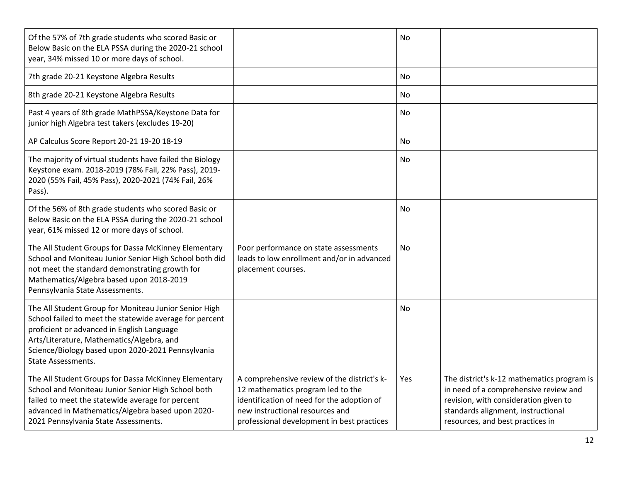| Of the 57% of 7th grade students who scored Basic or<br>Below Basic on the ELA PSSA during the 2020-21 school<br>year, 34% missed 10 or more days of school.                                                                                                                                  |                                                                                                                                                                                                                 | No        |                                                                                                                                                                                                        |
|-----------------------------------------------------------------------------------------------------------------------------------------------------------------------------------------------------------------------------------------------------------------------------------------------|-----------------------------------------------------------------------------------------------------------------------------------------------------------------------------------------------------------------|-----------|--------------------------------------------------------------------------------------------------------------------------------------------------------------------------------------------------------|
| 7th grade 20-21 Keystone Algebra Results                                                                                                                                                                                                                                                      |                                                                                                                                                                                                                 | <b>No</b> |                                                                                                                                                                                                        |
| 8th grade 20-21 Keystone Algebra Results                                                                                                                                                                                                                                                      |                                                                                                                                                                                                                 | No        |                                                                                                                                                                                                        |
| Past 4 years of 8th grade MathPSSA/Keystone Data for<br>junior high Algebra test takers (excludes 19-20)                                                                                                                                                                                      |                                                                                                                                                                                                                 | No        |                                                                                                                                                                                                        |
| AP Calculus Score Report 20-21 19-20 18-19                                                                                                                                                                                                                                                    |                                                                                                                                                                                                                 | No        |                                                                                                                                                                                                        |
| The majority of virtual students have failed the Biology<br>Keystone exam. 2018-2019 (78% Fail, 22% Pass), 2019-<br>2020 (55% Fail, 45% Pass), 2020-2021 (74% Fail, 26%<br>Pass).                                                                                                             |                                                                                                                                                                                                                 | No        |                                                                                                                                                                                                        |
| Of the 56% of 8th grade students who scored Basic or<br>Below Basic on the ELA PSSA during the 2020-21 school<br>year, 61% missed 12 or more days of school.                                                                                                                                  |                                                                                                                                                                                                                 | No        |                                                                                                                                                                                                        |
| The All Student Groups for Dassa McKinney Elementary<br>School and Moniteau Junior Senior High School both did<br>not meet the standard demonstrating growth for<br>Mathematics/Algebra based upon 2018-2019<br>Pennsylvania State Assessments.                                               | Poor performance on state assessments<br>leads to low enrollment and/or in advanced<br>placement courses.                                                                                                       | <b>No</b> |                                                                                                                                                                                                        |
| The All Student Group for Moniteau Junior Senior High<br>School failed to meet the statewide average for percent<br>proficient or advanced in English Language<br>Arts/Literature, Mathematics/Algebra, and<br>Science/Biology based upon 2020-2021 Pennsylvania<br><b>State Assessments.</b> |                                                                                                                                                                                                                 | No        |                                                                                                                                                                                                        |
| The All Student Groups for Dassa McKinney Elementary<br>School and Moniteau Junior Senior High School both<br>failed to meet the statewide average for percent<br>advanced in Mathematics/Algebra based upon 2020-<br>2021 Pennsylvania State Assessments.                                    | A comprehensive review of the district's k-<br>12 mathematics program led to the<br>identification of need for the adoption of<br>new instructional resources and<br>professional development in best practices | Yes       | The district's k-12 mathematics program is<br>in need of a comprehensive review and<br>revision, with consideration given to<br>standards alignment, instructional<br>resources, and best practices in |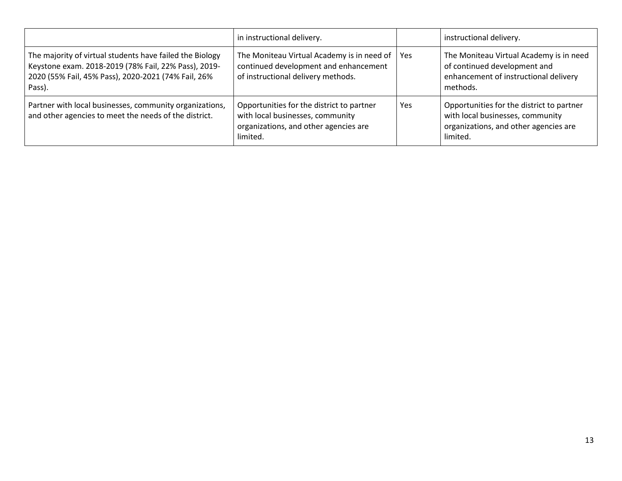|                                                                                                                                                                                   | in instructional delivery.                                                                                                         |            | instructional delivery.                                                                                                            |
|-----------------------------------------------------------------------------------------------------------------------------------------------------------------------------------|------------------------------------------------------------------------------------------------------------------------------------|------------|------------------------------------------------------------------------------------------------------------------------------------|
| The majority of virtual students have failed the Biology<br>Keystone exam. 2018-2019 (78% Fail, 22% Pass), 2019-<br>2020 (55% Fail, 45% Pass), 2020-2021 (74% Fail, 26%<br>Pass). | The Moniteau Virtual Academy is in need of<br>continued development and enhancement<br>of instructional delivery methods.          | <b>Yes</b> | The Moniteau Virtual Academy is in need<br>of continued development and<br>enhancement of instructional delivery<br>methods.       |
| Partner with local businesses, community organizations,<br>and other agencies to meet the needs of the district.                                                                  | Opportunities for the district to partner<br>with local businesses, community<br>organizations, and other agencies are<br>limited. | Yes        | Opportunities for the district to partner<br>with local businesses, community<br>organizations, and other agencies are<br>limited. |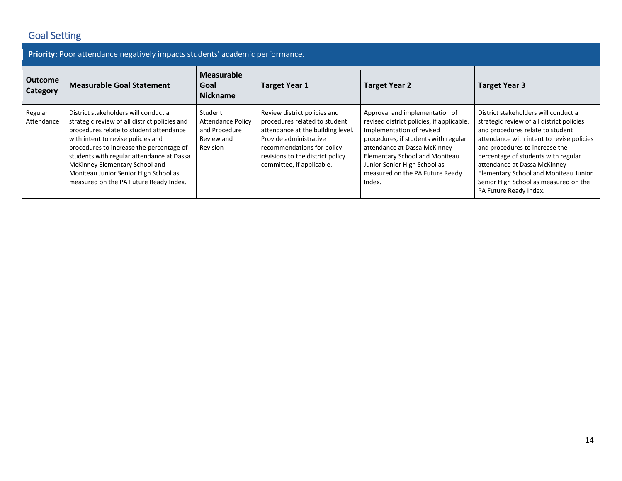## Goal Setting

| Priority: Poor attendance negatively impacts students' academic performance. |                                                                                                                                                                                                                                                                                                                                                                                      |                                                                                |                                                                                                                                                                                                                             |                                                                                                                                                                                                                                                                                                 |                                                                                                                                                                                                                                                                                                                                                                                         |  |  |
|------------------------------------------------------------------------------|--------------------------------------------------------------------------------------------------------------------------------------------------------------------------------------------------------------------------------------------------------------------------------------------------------------------------------------------------------------------------------------|--------------------------------------------------------------------------------|-----------------------------------------------------------------------------------------------------------------------------------------------------------------------------------------------------------------------------|-------------------------------------------------------------------------------------------------------------------------------------------------------------------------------------------------------------------------------------------------------------------------------------------------|-----------------------------------------------------------------------------------------------------------------------------------------------------------------------------------------------------------------------------------------------------------------------------------------------------------------------------------------------------------------------------------------|--|--|
| Outcome<br>Category                                                          | <b>Measurable Goal Statement</b>                                                                                                                                                                                                                                                                                                                                                     | <b>Measurable</b><br>Goal<br><b>Nickname</b>                                   | <b>Target Year 1</b>                                                                                                                                                                                                        | <b>Target Year 2</b>                                                                                                                                                                                                                                                                            | <b>Target Year 3</b>                                                                                                                                                                                                                                                                                                                                                                    |  |  |
| Regular<br>Attendance                                                        | District stakeholders will conduct a<br>strategic review of all district policies and<br>procedures relate to student attendance<br>with intent to revise policies and<br>procedures to increase the percentage of<br>students with regular attendance at Dassa<br>McKinney Elementary School and<br>Moniteau Junior Senior High School as<br>measured on the PA Future Ready Index. | Student<br><b>Attendance Policy</b><br>and Procedure<br>Review and<br>Revision | Review district policies and<br>procedures related to student<br>attendance at the building level.<br>Provide administrative<br>recommendations for policy<br>revisions to the district policy<br>committee, if applicable. | Approval and implementation of<br>revised district policies, if applicable.<br>Implementation of revised<br>procedures, if students with regular<br>attendance at Dassa McKinney<br>Elementary School and Moniteau<br>Junior Senior High School as<br>measured on the PA Future Ready<br>Index. | District stakeholders will conduct a<br>strategic review of all district policies<br>and procedures relate to student<br>attendance with intent to revise policies<br>and procedures to increase the<br>percentage of students with regular<br>attendance at Dassa McKinney<br>Elementary School and Moniteau Junior<br>Senior High School as measured on the<br>PA Future Ready Index. |  |  |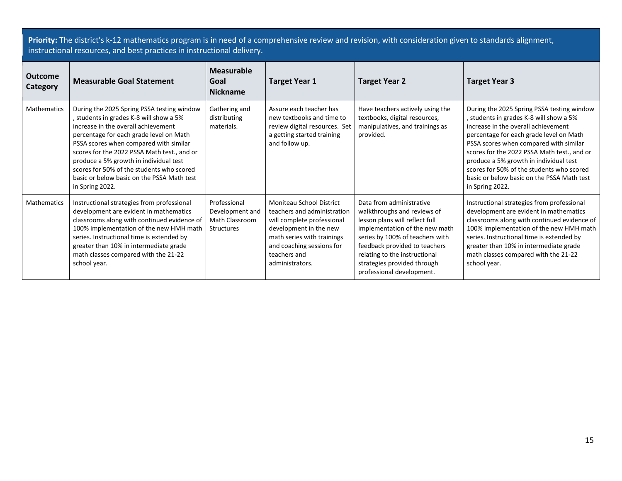**Priority:** The district's k-12 mathematics program is in need of a comprehensive review and revision, with consideration given to standards alignment, instructional resources, and best practices in instructional delivery.

| Outcome<br>Category | <b>Measurable Goal Statement</b>                                                                                                                                                                                                                                                                                                                                                                                       | <b>Measurable</b><br>Goal<br><b>Nickname</b>                           | <b>Target Year 1</b>                                                                                                                                                                                          | <b>Target Year 2</b>                                                                                                                                                                                                                                                                         | <b>Target Year 3</b>                                                                                                                                                                                                                                                                                                                                                                                                     |
|---------------------|------------------------------------------------------------------------------------------------------------------------------------------------------------------------------------------------------------------------------------------------------------------------------------------------------------------------------------------------------------------------------------------------------------------------|------------------------------------------------------------------------|---------------------------------------------------------------------------------------------------------------------------------------------------------------------------------------------------------------|----------------------------------------------------------------------------------------------------------------------------------------------------------------------------------------------------------------------------------------------------------------------------------------------|--------------------------------------------------------------------------------------------------------------------------------------------------------------------------------------------------------------------------------------------------------------------------------------------------------------------------------------------------------------------------------------------------------------------------|
| Mathematics         | During the 2025 Spring PSSA testing window<br>students in grades K-8 will show a 5%<br>increase in the overall achievement<br>percentage for each grade level on Math<br>PSSA scores when compared with similar<br>scores for the 2022 PSSA Math test., and or<br>produce a 5% growth in individual test<br>scores for 50% of the students who scored<br>basic or below basic on the PSSA Math test<br>in Spring 2022. | Gathering and<br>distributing<br>materials.                            | Assure each teacher has<br>new textbooks and time to<br>review digital resources. Set<br>a getting started training<br>and follow up.                                                                         | Have teachers actively using the<br>textbooks, digital resources,<br>manipulatives, and trainings as<br>provided.                                                                                                                                                                            | During the 2025 Spring PSSA testing window<br>, students in grades K-8 will show a 5%<br>increase in the overall achievement<br>percentage for each grade level on Math<br>PSSA scores when compared with similar<br>scores for the 2022 PSSA Math test., and or<br>produce a 5% growth in individual test<br>scores for 50% of the students who scored<br>basic or below basic on the PSSA Math test<br>in Spring 2022. |
| Mathematics         | Instructional strategies from professional<br>development are evident in mathematics<br>classrooms along with continued evidence of<br>100% implementation of the new HMH math<br>series. Instructional time is extended by<br>greater than 10% in intermediate grade<br>math classes compared with the 21-22<br>school year.                                                                                          | Professional<br>Development and<br>Math Classroom<br><b>Structures</b> | Moniteau School District<br>teachers and administration<br>will complete professional<br>development in the new<br>math series with trainings<br>and coaching sessions for<br>teachers and<br>administrators. | Data from administrative<br>walkthroughs and reviews of<br>lesson plans will reflect full<br>implementation of the new math<br>series by 100% of teachers with<br>feedback provided to teachers<br>relating to the instructional<br>strategies provided through<br>professional development. | Instructional strategies from professional<br>development are evident in mathematics<br>classrooms along with continued evidence of<br>100% implementation of the new HMH math<br>series. Instructional time is extended by<br>greater than 10% in intermediate grade<br>math classes compared with the 21-22<br>school year.                                                                                            |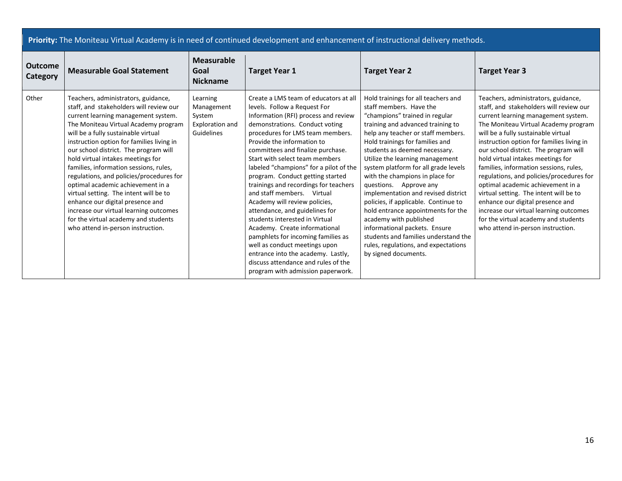|  | Priority: The Moniteau Virtual Academy is in need of continued development and enhancement of instructional delivery methods. |
|--|-------------------------------------------------------------------------------------------------------------------------------|
|  |                                                                                                                               |

| <b>Outcome</b><br>Category | <b>Measurable Goal Statement</b>                                                                                                                                                                                                                                                                                                                                                                                                                                                                                                                                                                                                                                | <b>Measurable</b><br>Goal<br><b>Nickname</b>                      | <b>Target Year 1</b>                                                                                                                                                                                                                                                                                                                                                                                                                                                                                                                                                                                                                                                                                                                                                         | <b>Target Year 2</b>                                                                                                                                                                                                                                                                                                                                                                                                                                                                                                                                                                                                                                                            | <b>Target Year 3</b>                                                                                                                                                                                                                                                                                                                                                                                                                                                                                                                                                                                                                                            |
|----------------------------|-----------------------------------------------------------------------------------------------------------------------------------------------------------------------------------------------------------------------------------------------------------------------------------------------------------------------------------------------------------------------------------------------------------------------------------------------------------------------------------------------------------------------------------------------------------------------------------------------------------------------------------------------------------------|-------------------------------------------------------------------|------------------------------------------------------------------------------------------------------------------------------------------------------------------------------------------------------------------------------------------------------------------------------------------------------------------------------------------------------------------------------------------------------------------------------------------------------------------------------------------------------------------------------------------------------------------------------------------------------------------------------------------------------------------------------------------------------------------------------------------------------------------------------|---------------------------------------------------------------------------------------------------------------------------------------------------------------------------------------------------------------------------------------------------------------------------------------------------------------------------------------------------------------------------------------------------------------------------------------------------------------------------------------------------------------------------------------------------------------------------------------------------------------------------------------------------------------------------------|-----------------------------------------------------------------------------------------------------------------------------------------------------------------------------------------------------------------------------------------------------------------------------------------------------------------------------------------------------------------------------------------------------------------------------------------------------------------------------------------------------------------------------------------------------------------------------------------------------------------------------------------------------------------|
| Other                      | Teachers, administrators, guidance,<br>staff, and stakeholders will review our<br>current learning management system.<br>The Moniteau Virtual Academy program<br>will be a fully sustainable virtual<br>instruction option for families living in<br>our school district. The program will<br>hold virtual intakes meetings for<br>families, information sessions, rules,<br>regulations, and policies/procedures for<br>optimal academic achievement in a<br>virtual setting. The intent will be to<br>enhance our digital presence and<br>increase our virtual learning outcomes<br>for the virtual academy and students<br>who attend in-person instruction. | Learning<br>Management<br>System<br>Exploration and<br>Guidelines | Create a LMS team of educators at all<br>levels. Follow a Request For<br>Information (RFI) process and review<br>demonstrations. Conduct voting<br>procedures for LMS team members.<br>Provide the information to<br>committees and finalize purchase.<br>Start with select team members<br>labeled "champions" for a pilot of the<br>program. Conduct getting started<br>trainings and recordings for teachers<br>and staff members. Virtual<br>Academy will review policies,<br>attendance, and guidelines for<br>students interested in Virtual<br>Academy. Create informational<br>pamphlets for incoming families as<br>well as conduct meetings upon<br>entrance into the academy. Lastly,<br>discuss attendance and rules of the<br>program with admission paperwork. | Hold trainings for all teachers and<br>staff members. Have the<br>"champions" trained in regular<br>training and advanced training to<br>help any teacher or staff members.<br>Hold trainings for families and<br>students as deemed necessary.<br>Utilize the learning management<br>system platform for all grade levels<br>with the champions in place for<br>questions. Approve any<br>implementation and revised district<br>policies, if applicable. Continue to<br>hold entrance appointments for the<br>academy with published<br>informational packets. Ensure<br>students and families understand the<br>rules, regulations, and expectations<br>by signed documents. | Teachers, administrators, guidance,<br>staff, and stakeholders will review our<br>current learning management system.<br>The Moniteau Virtual Academy program<br>will be a fully sustainable virtual<br>instruction option for families living in<br>our school district. The program will<br>hold virtual intakes meetings for<br>families, information sessions, rules,<br>regulations, and policies/procedures for<br>optimal academic achievement in a<br>virtual setting. The intent will be to<br>enhance our digital presence and<br>increase our virtual learning outcomes<br>for the virtual academy and students<br>who attend in-person instruction. |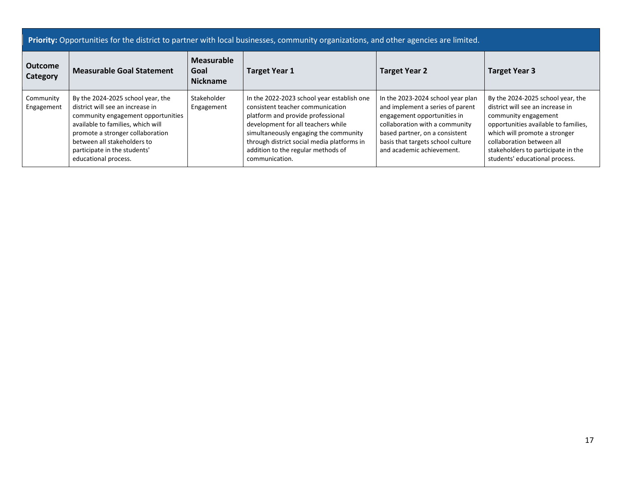| <b>Outcome</b><br><b>Category</b> | <b>Measurable Goal Statement</b>                                                                                                                                                                                                                                            | Measurable<br>Goal<br><b>Target Year 1</b><br><b>Nickname</b> |                                                                                                                                                                                                                                                                                                          | <b>Target Year 2</b>                                                                                                                                                                                                                       | <b>Target Year 3</b>                                                                                                                                                                                                                                                        |  |
|-----------------------------------|-----------------------------------------------------------------------------------------------------------------------------------------------------------------------------------------------------------------------------------------------------------------------------|---------------------------------------------------------------|----------------------------------------------------------------------------------------------------------------------------------------------------------------------------------------------------------------------------------------------------------------------------------------------------------|--------------------------------------------------------------------------------------------------------------------------------------------------------------------------------------------------------------------------------------------|-----------------------------------------------------------------------------------------------------------------------------------------------------------------------------------------------------------------------------------------------------------------------------|--|
| Community<br>Engagement           | By the 2024-2025 school year, the<br>district will see an increase in<br>community engagement opportunities<br>available to families, which will<br>promote a stronger collaboration<br>between all stakeholders to<br>participate in the students'<br>educational process. | Stakeholder<br>Engagement                                     | In the 2022-2023 school year establish one<br>consistent teacher communication<br>platform and provide professional<br>development for all teachers while<br>simultaneously engaging the community<br>through district social media platforms in<br>addition to the regular methods of<br>communication. | In the 2023-2024 school year plan<br>and implement a series of parent<br>engagement opportunities in<br>collaboration with a community<br>based partner, on a consistent<br>basis that targets school culture<br>and academic achievement. | By the 2024-2025 school year, the<br>district will see an increase in<br>community engagement<br>opportunities available to families,<br>which will promote a stronger<br>collaboration between all<br>stakeholders to participate in the<br>students' educational process. |  |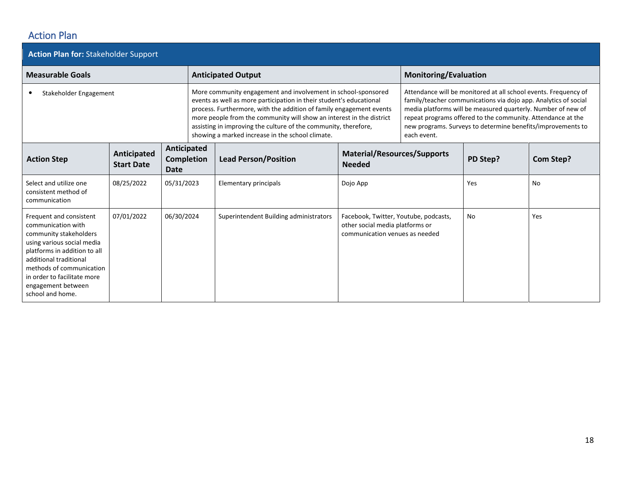### Action Plan

| <b>Action Plan for: Stakeholder Support</b>                                                                                                                                                                                                                          |                                  |                                                 |  |                                                                                                                                                                                                                                                                                                                                                                                                            |                                                                                                            |                              |                                                                                                                                                                                                                                                                                                                                  |           |
|----------------------------------------------------------------------------------------------------------------------------------------------------------------------------------------------------------------------------------------------------------------------|----------------------------------|-------------------------------------------------|--|------------------------------------------------------------------------------------------------------------------------------------------------------------------------------------------------------------------------------------------------------------------------------------------------------------------------------------------------------------------------------------------------------------|------------------------------------------------------------------------------------------------------------|------------------------------|----------------------------------------------------------------------------------------------------------------------------------------------------------------------------------------------------------------------------------------------------------------------------------------------------------------------------------|-----------|
| <b>Measurable Goals</b>                                                                                                                                                                                                                                              |                                  |                                                 |  | <b>Anticipated Output</b>                                                                                                                                                                                                                                                                                                                                                                                  |                                                                                                            | <b>Monitoring/Evaluation</b> |                                                                                                                                                                                                                                                                                                                                  |           |
| Stakeholder Engagement                                                                                                                                                                                                                                               |                                  |                                                 |  | More community engagement and involvement in school-sponsored<br>events as well as more participation in their student's educational<br>process. Furthermore, with the addition of family engagement events<br>more people from the community will show an interest in the district<br>assisting in improving the culture of the community, therefore,<br>showing a marked increase in the school climate. |                                                                                                            | each event.                  | Attendance will be monitored at all school events. Frequency of<br>family/teacher communications via dojo app. Analytics of social<br>media platforms will be measured quarterly. Number of new of<br>repeat programs offered to the community. Attendance at the<br>new programs. Surveys to determine benefits/improvements to |           |
| <b>Action Step</b>                                                                                                                                                                                                                                                   | Anticipated<br><b>Start Date</b> | Anticipated<br><b>Completion</b><br><b>Date</b> |  | <b>Lead Person/Position</b>                                                                                                                                                                                                                                                                                                                                                                                | <b>Material/Resources/Supports</b><br><b>Needed</b>                                                        |                              | PD Step?                                                                                                                                                                                                                                                                                                                         | Com Step? |
| Select and utilize one<br>consistent method of<br>communication                                                                                                                                                                                                      | 08/25/2022                       | 05/31/2023                                      |  | Elementary principals                                                                                                                                                                                                                                                                                                                                                                                      | Dojo App                                                                                                   |                              | Yes                                                                                                                                                                                                                                                                                                                              | No        |
| Frequent and consistent<br>communication with<br>community stakeholders<br>using various social media<br>platforms in addition to all<br>additional traditional<br>methods of communication<br>in order to facilitate more<br>engagement between<br>school and home. | 07/01/2022                       | 06/30/2024                                      |  | Superintendent Building administrators                                                                                                                                                                                                                                                                                                                                                                     | Facebook, Twitter, Youtube, podcasts,<br>other social media platforms or<br>communication venues as needed |                              | No                                                                                                                                                                                                                                                                                                                               | Yes       |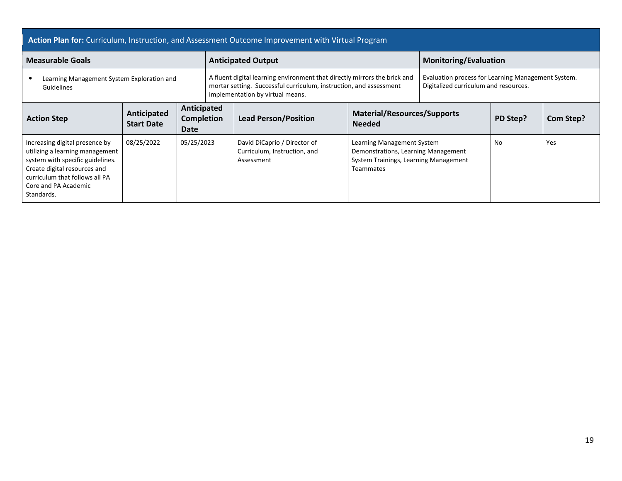#### **Action Plan for:** Curriculum, Instruction, and Assessment Outcome Improvement with Virtual Program

| <b>Measurable Goals</b>                                                                                                                                                                                       |                                  |                                   |  | <b>Anticipated Output</b>                                                                                                                                                           | <b>Monitoring/Evaluation</b>                                                                                                   |  |                                                                                             |                  |  |
|---------------------------------------------------------------------------------------------------------------------------------------------------------------------------------------------------------------|----------------------------------|-----------------------------------|--|-------------------------------------------------------------------------------------------------------------------------------------------------------------------------------------|--------------------------------------------------------------------------------------------------------------------------------|--|---------------------------------------------------------------------------------------------|------------------|--|
| Learning Management System Exploration and<br>Guidelines                                                                                                                                                      |                                  |                                   |  | A fluent digital learning environment that directly mirrors the brick and<br>mortar setting. Successful curriculum, instruction, and assessment<br>implementation by virtual means. |                                                                                                                                |  | Evaluation process for Learning Management System.<br>Digitalized curriculum and resources. |                  |  |
| <b>Action Step</b>                                                                                                                                                                                            | Anticipated<br><b>Start Date</b> | Anticipated<br>Completion<br>Date |  | <b>Lead Person/Position</b>                                                                                                                                                         | <b>Material/Resources/Supports</b><br><b>Needed</b>                                                                            |  | PD Step?                                                                                    | <b>Com Step?</b> |  |
| Increasing digital presence by<br>utilizing a learning management<br>system with specific guidelines.<br>Create digital resources and<br>curriculum that follows all PA<br>Core and PA Academic<br>Standards. | 08/25/2022                       | 05/25/2023                        |  | David DiCaprio / Director of<br>Curriculum, Instruction, and<br>Assessment                                                                                                          | Learning Management System<br>Demonstrations, Learning Management<br>System Trainings, Learning Management<br><b>Teammates</b> |  | No                                                                                          | Yes              |  |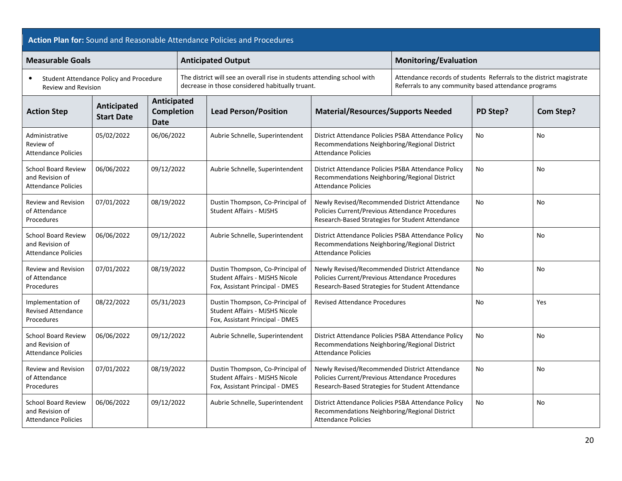| Action Plan for: Sound and Reasonable Attendance Policies and Procedures    |                                         |                                                 |                                                                                                                            |                                                                                                              |                                                                                                                                                      |                                                                                                                             |                |                  |  |
|-----------------------------------------------------------------------------|-----------------------------------------|-------------------------------------------------|----------------------------------------------------------------------------------------------------------------------------|--------------------------------------------------------------------------------------------------------------|------------------------------------------------------------------------------------------------------------------------------------------------------|-----------------------------------------------------------------------------------------------------------------------------|----------------|------------------|--|
| <b>Measurable Goals</b>                                                     |                                         |                                                 |                                                                                                                            | <b>Anticipated Output</b>                                                                                    |                                                                                                                                                      | <b>Monitoring/Evaluation</b>                                                                                                |                |                  |  |
| $\bullet$<br>Review and Revision                                            | Student Attendance Policy and Procedure |                                                 | The district will see an overall rise in students attending school with<br>decrease in those considered habitually truant. |                                                                                                              |                                                                                                                                                      | Attendance records of students Referrals to the district magistrate<br>Referrals to any community based attendance programs |                |                  |  |
| <b>Action Step</b>                                                          | Anticipated<br><b>Start Date</b>        | Anticipated<br><b>Completion</b><br><b>Date</b> |                                                                                                                            | <b>Lead Person/Position</b>                                                                                  | <b>Material/Resources/Supports Needed</b>                                                                                                            |                                                                                                                             | PD Step?       | <b>Com Step?</b> |  |
| Administrative<br>Review of<br><b>Attendance Policies</b>                   | 05/02/2022                              | 06/06/2022                                      |                                                                                                                            | Aubrie Schnelle, Superintendent                                                                              | District Attendance Policies PSBA Attendance Policy<br>Recommendations Neighboring/Regional District<br><b>Attendance Policies</b>                   |                                                                                                                             | No             | No               |  |
| School Board Review<br>and Revision of<br><b>Attendance Policies</b>        | 06/06/2022                              | 09/12/2022                                      |                                                                                                                            | Aubrie Schnelle, Superintendent                                                                              | District Attendance Policies PSBA Attendance Policy<br>Recommendations Neighboring/Regional District<br><b>Attendance Policies</b>                   |                                                                                                                             | No             | No               |  |
| <b>Review and Revision</b><br>of Attendance<br>Procedures                   | 07/01/2022                              | 08/19/2022                                      |                                                                                                                            | Dustin Thompson, Co-Principal of<br><b>Student Affairs - MJSHS</b>                                           | Newly Revised/Recommended District Attendance<br>Policies Current/Previous Attendance Procedures<br>Research-Based Strategies for Student Attendance |                                                                                                                             | No.            | No               |  |
| <b>School Board Review</b><br>and Revision of<br><b>Attendance Policies</b> | 06/06/2022                              | 09/12/2022                                      |                                                                                                                            | Aubrie Schnelle, Superintendent                                                                              | District Attendance Policies PSBA Attendance Policy<br>Recommendations Neighboring/Regional District<br><b>Attendance Policies</b>                   |                                                                                                                             | N <sub>o</sub> | <b>No</b>        |  |
| <b>Review and Revision</b><br>of Attendance<br>Procedures                   | 07/01/2022                              | 08/19/2022                                      |                                                                                                                            | Dustin Thompson, Co-Principal of<br>Student Affairs - MJSHS Nicole<br>Fox, Assistant Principal - DMES        | Newly Revised/Recommended District Attendance<br>Policies Current/Previous Attendance Procedures<br>Research-Based Strategies for Student Attendance |                                                                                                                             | N <sub>o</sub> | <b>No</b>        |  |
| Implementation of<br><b>Revised Attendance</b><br>Procedures                | 08/22/2022                              | 05/31/2023                                      |                                                                                                                            | Dustin Thompson, Co-Principal of<br><b>Student Affairs - MJSHS Nicole</b><br>Fox, Assistant Principal - DMES | <b>Revised Attendance Procedures</b>                                                                                                                 |                                                                                                                             | No             | Yes              |  |
| <b>School Board Review</b><br>and Revision of<br><b>Attendance Policies</b> | 06/06/2022                              | 09/12/2022                                      |                                                                                                                            | Aubrie Schnelle, Superintendent                                                                              | District Attendance Policies PSBA Attendance Policy<br>Recommendations Neighboring/Regional District<br><b>Attendance Policies</b>                   |                                                                                                                             | No             | No               |  |
| <b>Review and Revision</b><br>of Attendance<br>Procedures                   | 07/01/2022                              | 08/19/2022                                      |                                                                                                                            | Dustin Thompson, Co-Principal of<br><b>Student Affairs - MJSHS Nicole</b><br>Fox, Assistant Principal - DMES | Newly Revised/Recommended District Attendance<br>Policies Current/Previous Attendance Procedures<br>Research-Based Strategies for Student Attendance |                                                                                                                             | No             | No               |  |
| <b>School Board Review</b><br>and Revision of<br><b>Attendance Policies</b> | 06/06/2022                              | 09/12/2022                                      |                                                                                                                            | Aubrie Schnelle, Superintendent                                                                              | District Attendance Policies PSBA Attendance Policy<br>Recommendations Neighboring/Regional District<br><b>Attendance Policies</b>                   |                                                                                                                             | No             | No               |  |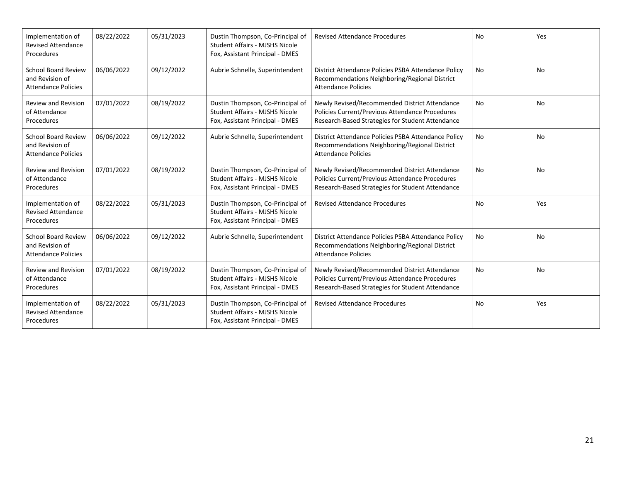| Implementation of<br><b>Revised Attendance</b><br>Procedures                | 08/22/2022 | 05/31/2023 | Dustin Thompson, Co-Principal of<br>Student Affairs - MJSHS Nicole<br>Fox, Assistant Principal - DMES        | <b>Revised Attendance Procedures</b>                                                                                                                 | No        | Yes |
|-----------------------------------------------------------------------------|------------|------------|--------------------------------------------------------------------------------------------------------------|------------------------------------------------------------------------------------------------------------------------------------------------------|-----------|-----|
| <b>School Board Review</b><br>and Revision of<br><b>Attendance Policies</b> | 06/06/2022 | 09/12/2022 | Aubrie Schnelle, Superintendent                                                                              | District Attendance Policies PSBA Attendance Policy<br>Recommendations Neighboring/Regional District<br><b>Attendance Policies</b>                   | No        | No  |
| <b>Review and Revision</b><br>of Attendance<br>Procedures                   | 07/01/2022 | 08/19/2022 | Dustin Thompson, Co-Principal of<br><b>Student Affairs - MJSHS Nicole</b><br>Fox, Assistant Principal - DMES | Newly Revised/Recommended District Attendance<br>Policies Current/Previous Attendance Procedures<br>Research-Based Strategies for Student Attendance | <b>No</b> | No  |
| <b>School Board Review</b><br>and Revision of<br><b>Attendance Policies</b> | 06/06/2022 | 09/12/2022 | Aubrie Schnelle, Superintendent                                                                              | District Attendance Policies PSBA Attendance Policy<br>Recommendations Neighboring/Regional District<br><b>Attendance Policies</b>                   | <b>No</b> | No  |
| <b>Review and Revision</b><br>of Attendance<br>Procedures                   | 07/01/2022 | 08/19/2022 | Dustin Thompson, Co-Principal of<br><b>Student Affairs - MJSHS Nicole</b><br>Fox, Assistant Principal - DMES | Newly Revised/Recommended District Attendance<br>Policies Current/Previous Attendance Procedures<br>Research-Based Strategies for Student Attendance | <b>No</b> | No  |
| Implementation of<br><b>Revised Attendance</b><br>Procedures                | 08/22/2022 | 05/31/2023 | Dustin Thompson, Co-Principal of<br><b>Student Affairs - MJSHS Nicole</b><br>Fox, Assistant Principal - DMES | <b>Revised Attendance Procedures</b>                                                                                                                 | No        | Yes |
| <b>School Board Review</b><br>and Revision of<br><b>Attendance Policies</b> | 06/06/2022 | 09/12/2022 | Aubrie Schnelle, Superintendent                                                                              | District Attendance Policies PSBA Attendance Policy<br>Recommendations Neighboring/Regional District<br><b>Attendance Policies</b>                   | No        | No  |
| <b>Review and Revision</b><br>of Attendance<br>Procedures                   | 07/01/2022 | 08/19/2022 | Dustin Thompson, Co-Principal of<br><b>Student Affairs - MJSHS Nicole</b><br>Fox, Assistant Principal - DMES | Newly Revised/Recommended District Attendance<br>Policies Current/Previous Attendance Procedures<br>Research-Based Strategies for Student Attendance | No        | No  |
| Implementation of<br><b>Revised Attendance</b><br>Procedures                | 08/22/2022 | 05/31/2023 | Dustin Thompson, Co-Principal of<br><b>Student Affairs - MJSHS Nicole</b><br>Fox, Assistant Principal - DMES | <b>Revised Attendance Procedures</b>                                                                                                                 | No        | Yes |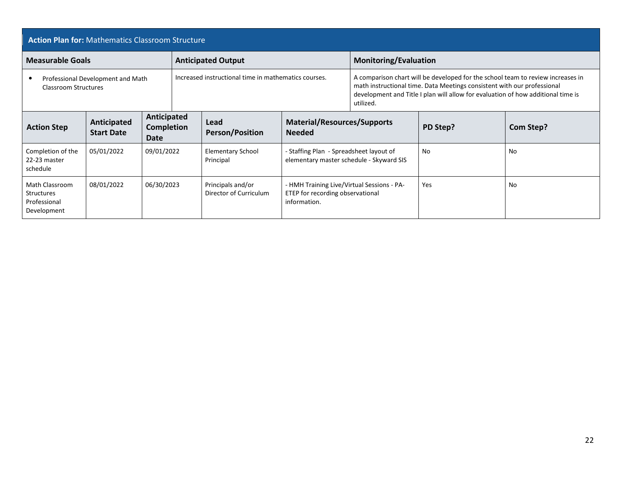| <b>Action Plan for: Mathematics Classroom Structure</b>            |                                   |                                                 |  |                                                                                                                                                                                                                                                                                                                     |                                                                                                |                              |          |           |
|--------------------------------------------------------------------|-----------------------------------|-------------------------------------------------|--|---------------------------------------------------------------------------------------------------------------------------------------------------------------------------------------------------------------------------------------------------------------------------------------------------------------------|------------------------------------------------------------------------------------------------|------------------------------|----------|-----------|
| <b>Measurable Goals</b><br><b>Anticipated Output</b>               |                                   |                                                 |  |                                                                                                                                                                                                                                                                                                                     |                                                                                                | <b>Monitoring/Evaluation</b> |          |           |
| Classroom Structures                                               | Professional Development and Math |                                                 |  | Increased instructional time in mathematics courses.<br>A comparison chart will be developed for the school team to review increases in<br>math instructional time. Data Meetings consistent with our professional<br>development and Title I plan will allow for evaluation of how additional time is<br>utilized. |                                                                                                |                              |          |           |
| <b>Action Step</b>                                                 | Anticipated<br><b>Start Date</b>  | Anticipated<br><b>Completion</b><br><b>Date</b> |  | Lead<br><b>Person/Position</b>                                                                                                                                                                                                                                                                                      | <b>Material/Resources/Supports</b><br><b>Needed</b>                                            |                              | PD Step? | Com Step? |
| Completion of the<br>22-23 master<br>schedule                      | 05/01/2022                        | 09/01/2022                                      |  | <b>Elementary School</b><br>Principal                                                                                                                                                                                                                                                                               | <b>Staffing Plan - Spreadsheet layout of</b><br>elementary master schedule - Skyward SIS       |                              | No       | No        |
| Math Classroom<br><b>Structures</b><br>Professional<br>Development | 08/01/2022                        | 06/30/2023                                      |  | Principals and/or<br>Director of Curriculum                                                                                                                                                                                                                                                                         | - HMH Training Live/Virtual Sessions - PA-<br>ETEP for recording observational<br>information. |                              | Yes      | No        |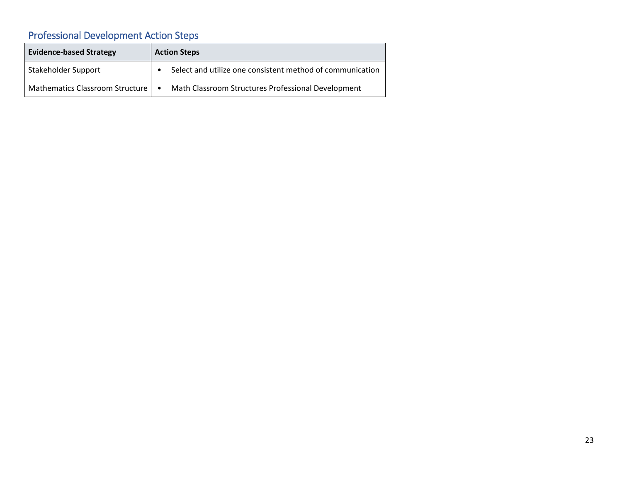# Professional Development Action Steps

| <b>Evidence-based Strategy</b>  | <b>Action Steps</b>                                             |
|---------------------------------|-----------------------------------------------------------------|
| Stakeholder Support             | Select and utilize one consistent method of communication       |
| Mathematics Classroom Structure | Math Classroom Structures Professional Development<br>$\bullet$ |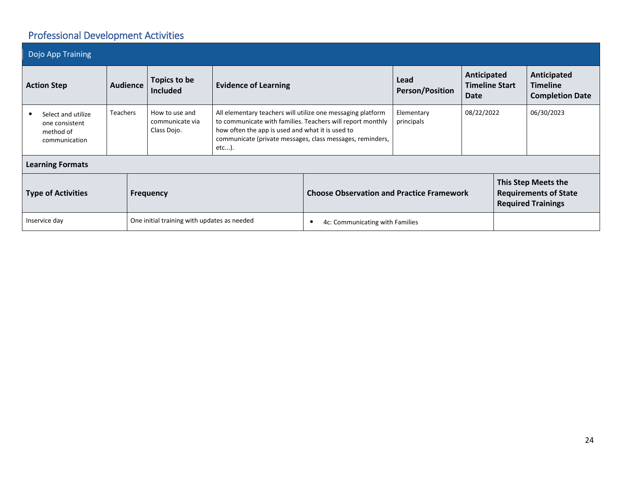# Professional Development Activities

| Dojo App Training                                                  |                 |                                                  |                                                                                                                                                                                                                                                        |                                 |            |  |                                      |                                                          |
|--------------------------------------------------------------------|-----------------|--------------------------------------------------|--------------------------------------------------------------------------------------------------------------------------------------------------------------------------------------------------------------------------------------------------------|---------------------------------|------------|--|--------------------------------------|----------------------------------------------------------|
| <b>Action Step</b>                                                 | <b>Audience</b> | Topics to be<br><b>Included</b>                  | Lead<br><b>Evidence of Learning</b><br><b>Person/Position</b>                                                                                                                                                                                          |                                 |            |  | Anticipated<br><b>Timeline Start</b> | Anticipated<br><b>Timeline</b><br><b>Completion Date</b> |
| Select and utilize<br>one consistent<br>method of<br>communication | Teachers        | How to use and<br>communicate via<br>Class Dojo. | All elementary teachers will utilize one messaging platform<br>to communicate with families. Teachers will report monthly<br>how often the app is used and what it is used to<br>communicate (private messages, class messages, reminders,<br>$etc$ ). | Elementary<br>principals        | 08/22/2022 |  | 06/30/2023                           |                                                          |
| <b>Learning Formats</b>                                            |                 |                                                  |                                                                                                                                                                                                                                                        |                                 |            |  |                                      |                                                          |
| <b>Type of Activities</b><br><b>Frequency</b>                      |                 |                                                  | This Step Meets the<br><b>Choose Observation and Practice Framework</b><br><b>Requirements of State</b><br><b>Required Trainings</b>                                                                                                                   |                                 |            |  |                                      |                                                          |
| Inservice day                                                      |                 | One initial training with updates as needed      |                                                                                                                                                                                                                                                        | 4c: Communicating with Families |            |  |                                      |                                                          |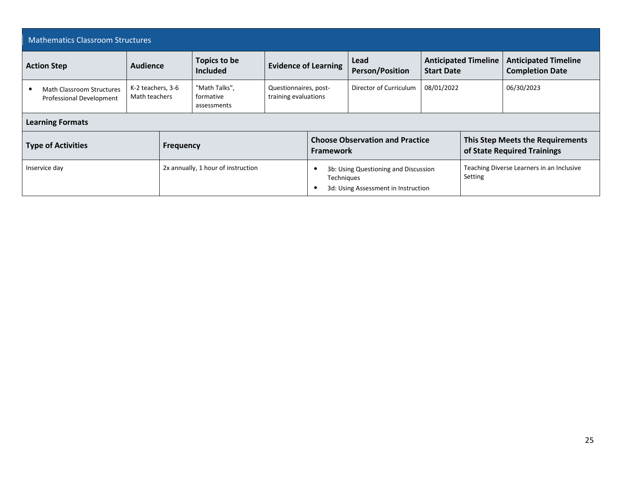| <b>Mathematics Classroom Structures</b>                      |                                    |                  |                                           |                                                                             |                  |                                        |                                           |                             |                                                                 |
|--------------------------------------------------------------|------------------------------------|------------------|-------------------------------------------|-----------------------------------------------------------------------------|------------------|----------------------------------------|-------------------------------------------|-----------------------------|-----------------------------------------------------------------|
| <b>Action Step</b>                                           | Audience                           |                  | Topics to be<br><b>Included</b>           | <b>Evidence of Learning</b>                                                 |                  | Lead<br><b>Person/Position</b>         | <b>Start Date</b>                         | <b>Anticipated Timeline</b> | <b>Anticipated Timeline</b><br><b>Completion Date</b>           |
| <b>Math Classroom Structures</b><br>Professional Development | K-2 teachers, 3-6<br>Math teachers |                  | "Math Talks",<br>formative<br>assessments | Questionnaires, post-<br>training evaluations                               |                  | Director of Curriculum<br>08/01/2022   |                                           |                             | 06/30/2023                                                      |
| <b>Learning Formats</b>                                      |                                    |                  |                                           |                                                                             |                  |                                        |                                           |                             |                                                                 |
| <b>Type of Activities</b>                                    |                                    | <b>Frequency</b> |                                           |                                                                             | <b>Framework</b> | <b>Choose Observation and Practice</b> |                                           |                             | This Step Meets the Requirements<br>of State Required Trainings |
| 2x annually, 1 hour of instruction<br>Inservice day          |                                    |                  | Techniques                                | 3b: Using Questioning and Discussion<br>3d: Using Assessment in Instruction |                  | Setting                                | Teaching Diverse Learners in an Inclusive |                             |                                                                 |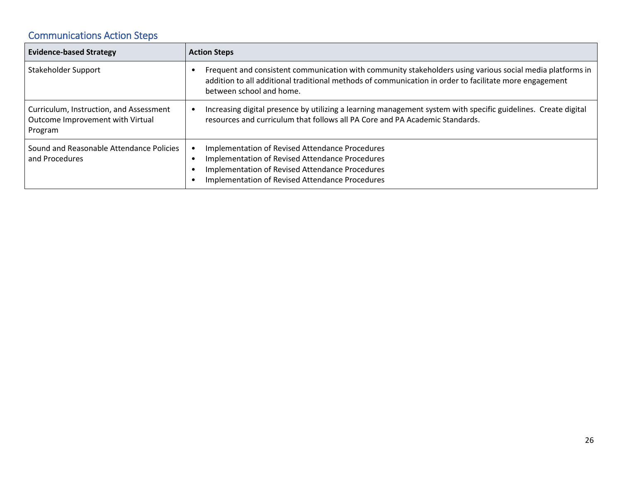## Communications Action Steps

| <b>Evidence-based Strategy</b>                                                         | <b>Action Steps</b>                                                                                                                                                                                                                             |
|----------------------------------------------------------------------------------------|-------------------------------------------------------------------------------------------------------------------------------------------------------------------------------------------------------------------------------------------------|
| Stakeholder Support                                                                    | Frequent and consistent communication with community stakeholders using various social media platforms in<br>addition to all additional traditional methods of communication in order to facilitate more engagement<br>between school and home. |
| Curriculum, Instruction, and Assessment<br>Outcome Improvement with Virtual<br>Program | Increasing digital presence by utilizing a learning management system with specific guidelines. Create digital<br>resources and curriculum that follows all PA Core and PA Academic Standards.                                                  |
| Sound and Reasonable Attendance Policies<br>and Procedures                             | Implementation of Revised Attendance Procedures<br>Implementation of Revised Attendance Procedures<br>Implementation of Revised Attendance Procedures<br>Implementation of Revised Attendance Procedures                                        |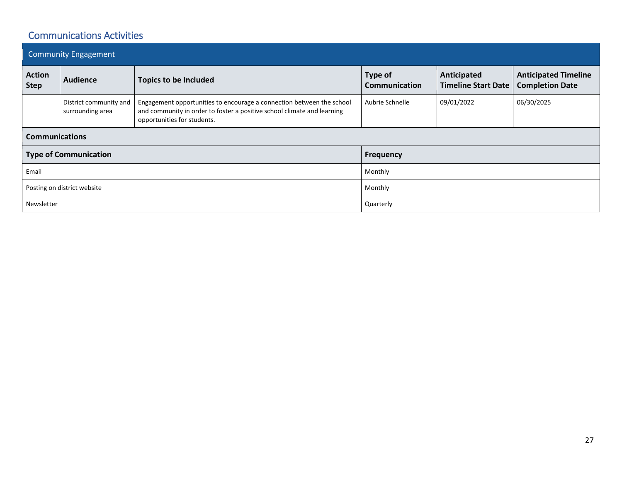### Communications Activities

| <b>Community Engagement</b>  |                                            |                                                                                                                                                                                 |                          |                                           |                                                       |  |  |  |
|------------------------------|--------------------------------------------|---------------------------------------------------------------------------------------------------------------------------------------------------------------------------------|--------------------------|-------------------------------------------|-------------------------------------------------------|--|--|--|
| <b>Action</b><br><b>Step</b> | <b>Audience</b>                            | <b>Topics to be Included</b>                                                                                                                                                    | Type of<br>Communication | Anticipated<br><b>Timeline Start Date</b> | <b>Anticipated Timeline</b><br><b>Completion Date</b> |  |  |  |
|                              | District community and<br>surrounding area | Engagement opportunities to encourage a connection between the school<br>and community in order to foster a positive school climate and learning<br>opportunities for students. | Aubrie Schnelle          | 09/01/2022                                | 06/30/2025                                            |  |  |  |
| <b>Communications</b>        |                                            |                                                                                                                                                                                 |                          |                                           |                                                       |  |  |  |
| <b>Type of Communication</b> |                                            | <b>Frequency</b>                                                                                                                                                                |                          |                                           |                                                       |  |  |  |
| Email                        |                                            |                                                                                                                                                                                 | Monthly                  |                                           |                                                       |  |  |  |
| Posting on district website  |                                            |                                                                                                                                                                                 | Monthly                  |                                           |                                                       |  |  |  |
| Newsletter                   |                                            |                                                                                                                                                                                 | Quarterly                |                                           |                                                       |  |  |  |